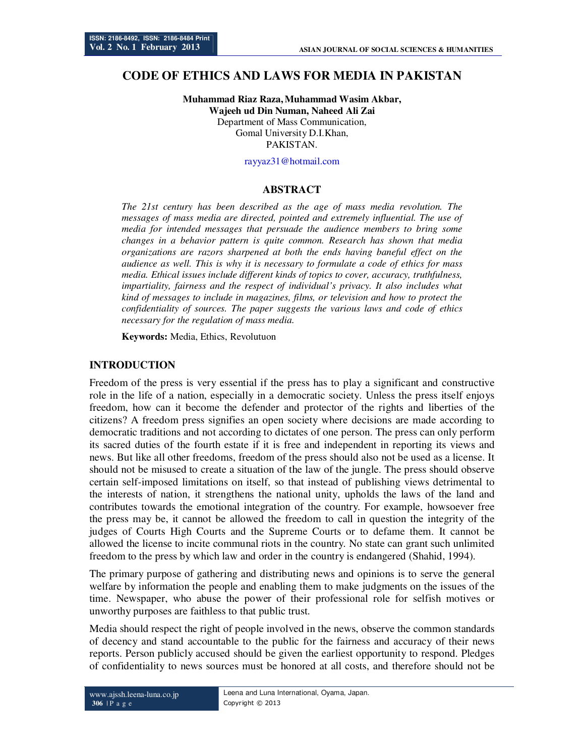# **CODE OF ETHICS AND LAWS FOR MEDIA IN PAKISTAN**

**Muhammad Riaz Raza,Muhammad Wasim Akbar, Wajeeh ud Din Numan, Naheed Ali Zai**  Department of Mass Communication, Gomal University D.I.Khan, **PAKISTAN** 

rayyaz31@hotmail.com

#### **ABSTRACT**

*The 21st century has been described as the age of mass media revolution. The messages of mass media are directed, pointed and extremely influential. The use of media for intended messages that persuade the audience members to bring some changes in a behavior pattern is quite common. Research has shown that media organizations are razors sharpened at both the ends having baneful effect on the audience as well. This is why it is necessary to formulate a code of ethics for mass media. Ethical issues include different kinds of topics to cover, accuracy, truthfulness, impartiality, fairness and the respect of individual's privacy. It also includes what kind of messages to include in magazines, films, or television and how to protect the confidentiality of sources. The paper suggests the various laws and code of ethics necessary for the regulation of mass media.* 

**Keywords:** Media, Ethics, Revolutuon

#### **INTRODUCTION**

Freedom of the press is very essential if the press has to play a significant and constructive role in the life of a nation, especially in a democratic society. Unless the press itself enjoys freedom, how can it become the defender and protector of the rights and liberties of the citizens? A freedom press signifies an open society where decisions are made according to democratic traditions and not according to dictates of one person. The press can only perform its sacred duties of the fourth estate if it is free and independent in reporting its views and news. But like all other freedoms, freedom of the press should also not be used as a license. It should not be misused to create a situation of the law of the jungle. The press should observe certain self-imposed limitations on itself, so that instead of publishing views detrimental to the interests of nation, it strengthens the national unity, upholds the laws of the land and contributes towards the emotional integration of the country. For example, howsoever free the press may be, it cannot be allowed the freedom to call in question the integrity of the judges of Courts High Courts and the Supreme Courts or to defame them. It cannot be allowed the license to incite communal riots in the country. No state can grant such unlimited freedom to the press by which law and order in the country is endangered (Shahid, 1994).

The primary purpose of gathering and distributing news and opinions is to serve the general welfare by information the people and enabling them to make judgments on the issues of the time. Newspaper, who abuse the power of their professional role for selfish motives or unworthy purposes are faithless to that public trust.

Media should respect the right of people involved in the news, observe the common standards of decency and stand accountable to the public for the fairness and accuracy of their news reports. Person publicly accused should be given the earliest opportunity to respond. Pledges of confidentiality to news sources must be honored at all costs, and therefore should not be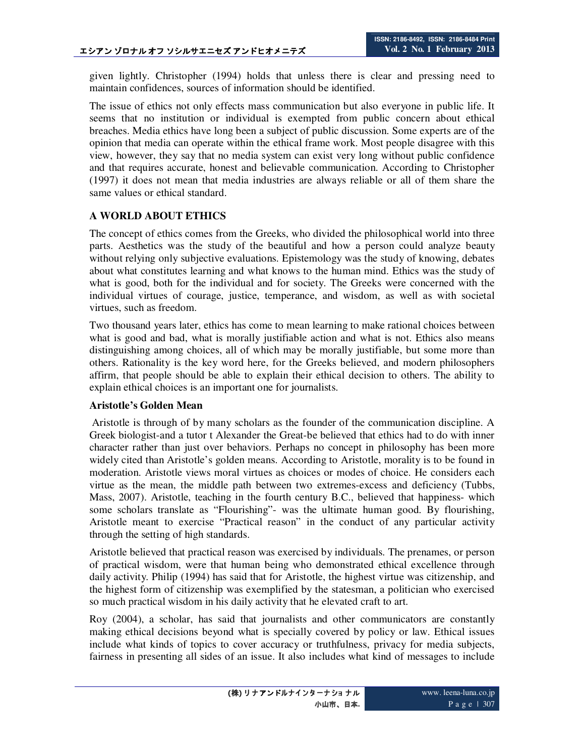given lightly. Christopher (1994) holds that unless there is clear and pressing need to maintain confidences, sources of information should be identified.

The issue of ethics not only effects mass communication but also everyone in public life. It seems that no institution or individual is exempted from public concern about ethical breaches. Media ethics have long been a subject of public discussion. Some experts are of the opinion that media can operate within the ethical frame work. Most people disagree with this view, however, they say that no media system can exist very long without public confidence and that requires accurate, honest and believable communication. According to Christopher (1997) it does not mean that media industries are always reliable or all of them share the same values or ethical standard.

#### **A WORLD ABOUT ETHICS**

The concept of ethics comes from the Greeks, who divided the philosophical world into three parts. Aesthetics was the study of the beautiful and how a person could analyze beauty without relying only subjective evaluations. Epistemology was the study of knowing, debates about what constitutes learning and what knows to the human mind. Ethics was the study of what is good, both for the individual and for society. The Greeks were concerned with the individual virtues of courage, justice, temperance, and wisdom, as well as with societal virtues, such as freedom.

Two thousand years later, ethics has come to mean learning to make rational choices between what is good and bad, what is morally justifiable action and what is not. Ethics also means distinguishing among choices, all of which may be morally justifiable, but some more than others. Rationality is the key word here, for the Greeks believed, and modern philosophers affirm, that people should be able to explain their ethical decision to others. The ability to explain ethical choices is an important one for journalists.

#### **Aristotle's Golden Mean**

 Aristotle is through of by many scholars as the founder of the communication discipline. A Greek biologist-and a tutor t Alexander the Great-be believed that ethics had to do with inner character rather than just over behaviors. Perhaps no concept in philosophy has been more widely cited than Aristotle's golden means. According to Aristotle, morality is to be found in moderation. Aristotle views moral virtues as choices or modes of choice. He considers each virtue as the mean, the middle path between two extremes-excess and deficiency (Tubbs, Mass, 2007). Aristotle, teaching in the fourth century B.C., believed that happiness- which some scholars translate as "Flourishing"- was the ultimate human good. By flourishing, Aristotle meant to exercise "Practical reason" in the conduct of any particular activity through the setting of high standards.

Aristotle believed that practical reason was exercised by individuals. The prenames, or person of practical wisdom, were that human being who demonstrated ethical excellence through daily activity. Philip (1994) has said that for Aristotle, the highest virtue was citizenship, and the highest form of citizenship was exemplified by the statesman, a politician who exercised so much practical wisdom in his daily activity that he elevated craft to art.

Roy (2004), a scholar, has said that journalists and other communicators are constantly making ethical decisions beyond what is specially covered by policy or law. Ethical issues include what kinds of topics to cover accuracy or truthfulness, privacy for media subjects, fairness in presenting all sides of an issue. It also includes what kind of messages to include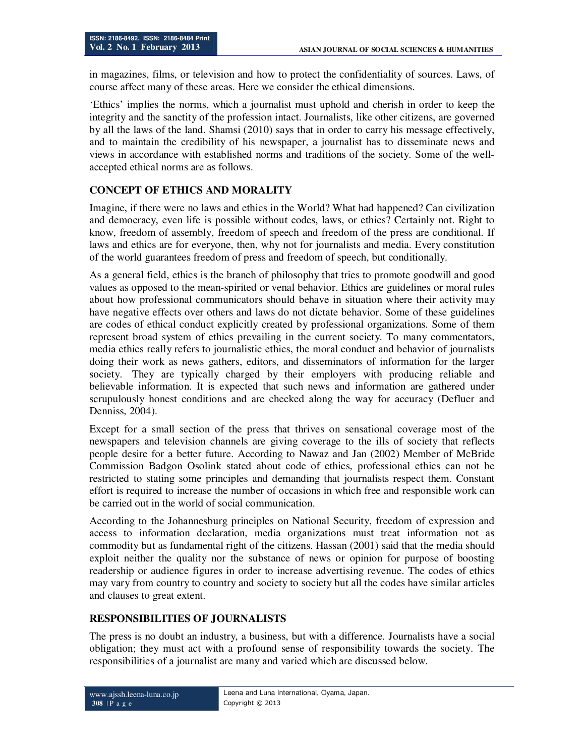in magazines, films, or television and how to protect the confidentiality of sources. Laws, of course affect many of these areas. Here we consider the ethical dimensions.

'Ethics' implies the norms, which a journalist must uphold and cherish in order to keep the integrity and the sanctity of the profession intact. Journalists, like other citizens, are governed by all the laws of the land. Shamsi (2010) says that in order to carry his message effectively, and to maintain the credibility of his newspaper, a journalist has to disseminate news and views in accordance with established norms and traditions of the society. Some of the wellaccepted ethical norms are as follows.

# **CONCEPT OF ETHICS AND MORALITY**

Imagine, if there were no laws and ethics in the World? What had happened? Can civilization and democracy, even life is possible without codes, laws, or ethics? Certainly not. Right to know, freedom of assembly, freedom of speech and freedom of the press are conditional. If laws and ethics are for everyone, then, why not for journalists and media. Every constitution of the world guarantees freedom of press and freedom of speech, but conditionally.

As a general field, ethics is the branch of philosophy that tries to promote goodwill and good values as opposed to the mean-spirited or venal behavior. Ethics are guidelines or moral rules about how professional communicators should behave in situation where their activity may have negative effects over others and laws do not dictate behavior. Some of these guidelines are codes of ethical conduct explicitly created by professional organizations. Some of them represent broad system of ethics prevailing in the current society. To many commentators, media ethics really refers to journalistic ethics, the moral conduct and behavior of journalists doing their work as news gathers, editors, and disseminators of information for the larger society. They are typically charged by their employers with producing reliable and believable information. It is expected that such news and information are gathered under scrupulously honest conditions and are checked along the way for accuracy (Defluer and Denniss, 2004).

Except for a small section of the press that thrives on sensational coverage most of the newspapers and television channels are giving coverage to the ills of society that reflects people desire for a better future. According to Nawaz and Jan (2002) Member of McBride Commission Badgon Osolink stated about code of ethics, professional ethics can not be restricted to stating some principles and demanding that journalists respect them. Constant effort is required to increase the number of occasions in which free and responsible work can be carried out in the world of social communication.

According to the Johannesburg principles on National Security, freedom of expression and access to information declaration, media organizations must treat information not as commodity but as fundamental right of the citizens. Hassan (2001) said that the media should exploit neither the quality nor the substance of news or opinion for purpose of boosting readership or audience figures in order to increase advertising revenue. The codes of ethics may vary from country to country and society to society but all the codes have similar articles and clauses to great extent.

## **RESPONSIBILITIES OF JOURNALISTS**

The press is no doubt an industry, a business, but with a difference. Journalists have a social obligation; they must act with a profound sense of responsibility towards the society. The responsibilities of a journalist are many and varied which are discussed below.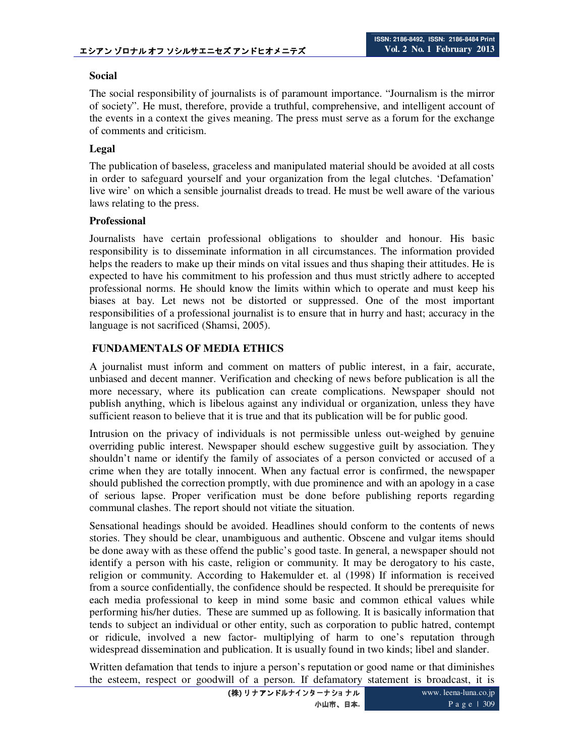## **Social**

The social responsibility of journalists is of paramount importance. "Journalism is the mirror of society". He must, therefore, provide a truthful, comprehensive, and intelligent account of the events in a context the gives meaning. The press must serve as a forum for the exchange of comments and criticism.

## **Legal**

The publication of baseless, graceless and manipulated material should be avoided at all costs in order to safeguard yourself and your organization from the legal clutches. 'Defamation' live wire' on which a sensible journalist dreads to tread. He must be well aware of the various laws relating to the press.

## **Professional**

Journalists have certain professional obligations to shoulder and honour. His basic responsibility is to disseminate information in all circumstances. The information provided helps the readers to make up their minds on vital issues and thus shaping their attitudes. He is expected to have his commitment to his profession and thus must strictly adhere to accepted professional norms. He should know the limits within which to operate and must keep his biases at bay. Let news not be distorted or suppressed. One of the most important responsibilities of a professional journalist is to ensure that in hurry and hast; accuracy in the language is not sacrificed (Shamsi, 2005).

## **FUNDAMENTALS OF MEDIA ETHICS**

A journalist must inform and comment on matters of public interest, in a fair, accurate, unbiased and decent manner. Verification and checking of news before publication is all the more necessary, where its publication can create complications. Newspaper should not publish anything, which is libelous against any individual or organization, unless they have sufficient reason to believe that it is true and that its publication will be for public good.

Intrusion on the privacy of individuals is not permissible unless out-weighed by genuine overriding public interest. Newspaper should eschew suggestive guilt by association. They shouldn't name or identify the family of associates of a person convicted or accused of a crime when they are totally innocent. When any factual error is confirmed, the newspaper should published the correction promptly, with due prominence and with an apology in a case of serious lapse. Proper verification must be done before publishing reports regarding communal clashes. The report should not vitiate the situation.

Sensational headings should be avoided. Headlines should conform to the contents of news stories. They should be clear, unambiguous and authentic. Obscene and vulgar items should be done away with as these offend the public's good taste. In general, a newspaper should not identify a person with his caste, religion or community. It may be derogatory to his caste, religion or community. According to Hakemulder et. al (1998) If information is received from a source confidentially, the confidence should be respected. It should be prerequisite for each media professional to keep in mind some basic and common ethical values while performing his/her duties. These are summed up as following. It is basically information that tends to subject an individual or other entity, such as corporation to public hatred, contempt or ridicule, involved a new factor- multiplying of harm to one's reputation through widespread dissemination and publication. It is usually found in two kinds; libel and slander.

Written defamation that tends to injure a person's reputation or good name or that diminishes the esteem, respect or goodwill of a person. If defamatory statement is broadcast, it is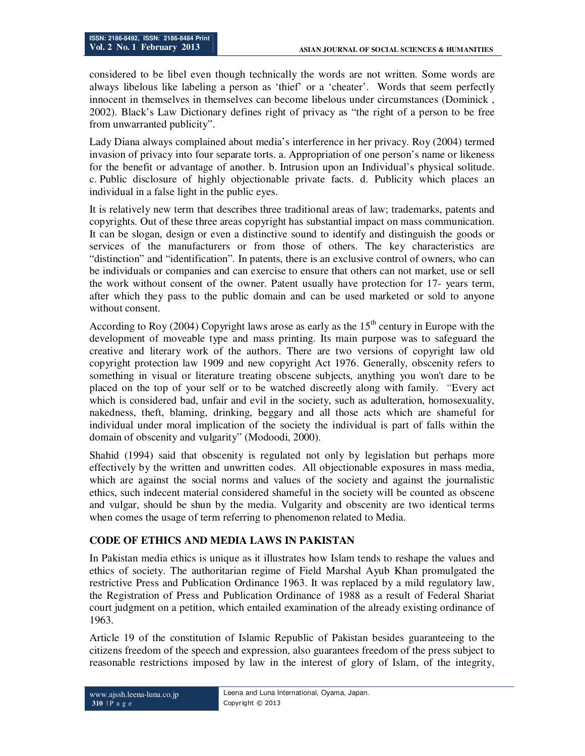considered to be libel even though technically the words are not written. Some words are always libelous like labeling a person as 'thief' or a 'cheater'. Words that seem perfectly innocent in themselves in themselves can become libelous under circumstances (Dominick , 2002). Black's Law Dictionary defines right of privacy as "the right of a person to be free from unwarranted publicity".

Lady Diana always complained about media's interference in her privacy. Roy (2004) termed invasion of privacy into four separate torts. a. Appropriation of one person's name or likeness for the benefit or advantage of another. b. Intrusion upon an Individual's physical solitude. c. Public disclosure of highly objectionable private facts. d. Publicity which places an individual in a false light in the public eyes.

It is relatively new term that describes three traditional areas of law; trademarks, patents and copyrights. Out of these three areas copyright has substantial impact on mass communication. It can be slogan, design or even a distinctive sound to identify and distinguish the goods or services of the manufacturers or from those of others. The key characteristics are "distinction" and "identification". In patents, there is an exclusive control of owners, who can be individuals or companies and can exercise to ensure that others can not market, use or sell the work without consent of the owner. Patent usually have protection for 17- years term, after which they pass to the public domain and can be used marketed or sold to anyone without consent.

According to Roy (2004) Copyright laws arose as early as the  $15<sup>th</sup>$  century in Europe with the development of moveable type and mass printing. Its main purpose was to safeguard the creative and literary work of the authors. There are two versions of copyright law old copyright protection law 1909 and new copyright Act 1976. Generally, obscenity refers to something in visual or literature treating obscene subjects, anything you won't dare to be placed on the top of your self or to be watched discreetly along with family. "Every act which is considered bad, unfair and evil in the society, such as adulteration, homosexuality, nakedness, theft, blaming, drinking, beggary and all those acts which are shameful for individual under moral implication of the society the individual is part of falls within the domain of obscenity and vulgarity" (Modoodi, 2000).

Shahid (1994) said that obscenity is regulated not only by legislation but perhaps more effectively by the written and unwritten codes. All objectionable exposures in mass media, which are against the social norms and values of the society and against the journalistic ethics, such indecent material considered shameful in the society will be counted as obscene and vulgar, should be shun by the media. Vulgarity and obscenity are two identical terms when comes the usage of term referring to phenomenon related to Media.

## **CODE OF ETHICS AND MEDIA LAWS IN PAKISTAN**

In Pakistan media ethics is unique as it illustrates how Islam tends to reshape the values and ethics of society. The authoritarian regime of Field Marshal Ayub Khan promulgated the restrictive Press and Publication Ordinance 1963. It was replaced by a mild regulatory law, the Registration of Press and Publication Ordinance of 1988 as a result of Federal Shariat court judgment on a petition, which entailed examination of the already existing ordinance of 1963.

Article 19 of the constitution of Islamic Republic of Pakistan besides guaranteeing to the citizens freedom of the speech and expression, also guarantees freedom of the press subject to reasonable restrictions imposed by law in the interest of glory of Islam, of the integrity,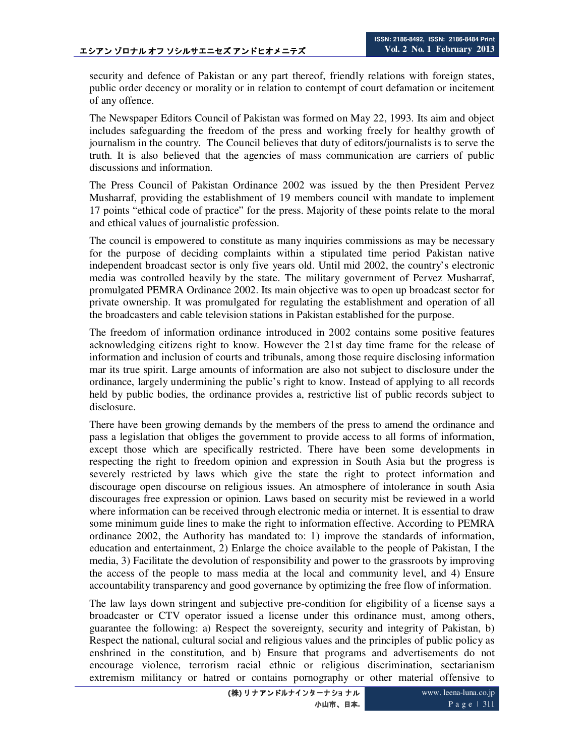security and defence of Pakistan or any part thereof, friendly relations with foreign states, public order decency or morality or in relation to contempt of court defamation or incitement of any offence.

The Newspaper Editors Council of Pakistan was formed on May 22, 1993. Its aim and object includes safeguarding the freedom of the press and working freely for healthy growth of journalism in the country. The Council believes that duty of editors/journalists is to serve the truth. It is also believed that the agencies of mass communication are carriers of public discussions and information.

The Press Council of Pakistan Ordinance 2002 was issued by the then President Pervez Musharraf, providing the establishment of 19 members council with mandate to implement 17 points "ethical code of practice" for the press. Majority of these points relate to the moral and ethical values of journalistic profession.

The council is empowered to constitute as many inquiries commissions as may be necessary for the purpose of deciding complaints within a stipulated time period Pakistan native independent broadcast sector is only five years old. Until mid 2002, the country's electronic media was controlled heavily by the state. The military government of Pervez Musharraf, promulgated PEMRA Ordinance 2002. Its main objective was to open up broadcast sector for private ownership. It was promulgated for regulating the establishment and operation of all the broadcasters and cable television stations in Pakistan established for the purpose.

The freedom of information ordinance introduced in 2002 contains some positive features acknowledging citizens right to know. However the 21st day time frame for the release of information and inclusion of courts and tribunals, among those require disclosing information mar its true spirit. Large amounts of information are also not subject to disclosure under the ordinance, largely undermining the public's right to know. Instead of applying to all records held by public bodies, the ordinance provides a, restrictive list of public records subject to disclosure.

There have been growing demands by the members of the press to amend the ordinance and pass a legislation that obliges the government to provide access to all forms of information, except those which are specifically restricted. There have been some developments in respecting the right to freedom opinion and expression in South Asia but the progress is severely restricted by laws which give the state the right to protect information and discourage open discourse on religious issues. An atmosphere of intolerance in south Asia discourages free expression or opinion. Laws based on security mist be reviewed in a world where information can be received through electronic media or internet. It is essential to draw some minimum guide lines to make the right to information effective. According to PEMRA ordinance 2002, the Authority has mandated to: 1) improve the standards of information, education and entertainment, 2) Enlarge the choice available to the people of Pakistan, I the media, 3) Facilitate the devolution of responsibility and power to the grassroots by improving the access of the people to mass media at the local and community level, and 4) Ensure accountability transparency and good governance by optimizing the free flow of information.

The law lays down stringent and subjective pre-condition for eligibility of a license says a broadcaster or CTV operator issued a license under this ordinance must, among others, guarantee the following: a) Respect the sovereignty, security and integrity of Pakistan, b) Respect the national, cultural social and religious values and the principles of public policy as enshrined in the constitution, and b) Ensure that programs and advertisements do not encourage violence, terrorism racial ethnic or religious discrimination, sectarianism extremism militancy or hatred or contains pornography or other material offensive to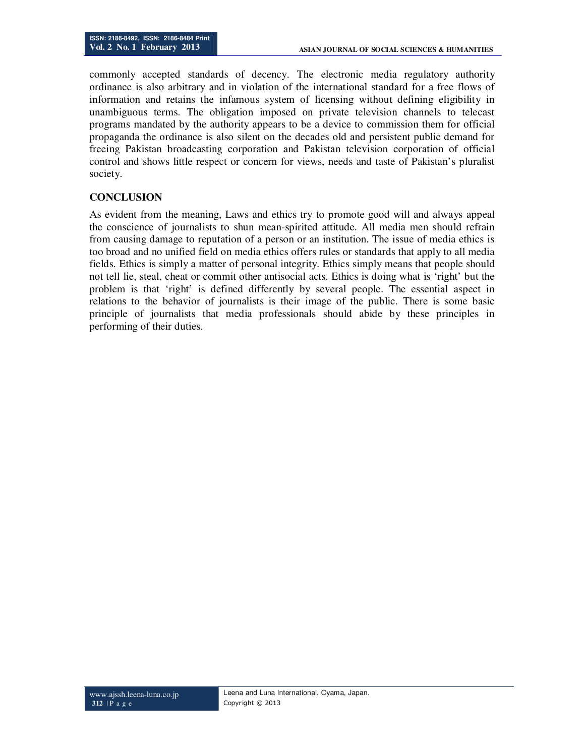commonly accepted standards of decency. The electronic media regulatory authority ordinance is also arbitrary and in violation of the international standard for a free flows of information and retains the infamous system of licensing without defining eligibility in unambiguous terms. The obligation imposed on private television channels to telecast programs mandated by the authority appears to be a device to commission them for official propaganda the ordinance is also silent on the decades old and persistent public demand for freeing Pakistan broadcasting corporation and Pakistan television corporation of official control and shows little respect or concern for views, needs and taste of Pakistan's pluralist society.

# **CONCLUSION**

As evident from the meaning, Laws and ethics try to promote good will and always appeal the conscience of journalists to shun mean-spirited attitude. All media men should refrain from causing damage to reputation of a person or an institution. The issue of media ethics is too broad and no unified field on media ethics offers rules or standards that apply to all media fields. Ethics is simply a matter of personal integrity. Ethics simply means that people should not tell lie, steal, cheat or commit other antisocial acts. Ethics is doing what is 'right' but the problem is that 'right' is defined differently by several people. The essential aspect in relations to the behavior of journalists is their image of the public. There is some basic principle of journalists that media professionals should abide by these principles in performing of their duties.